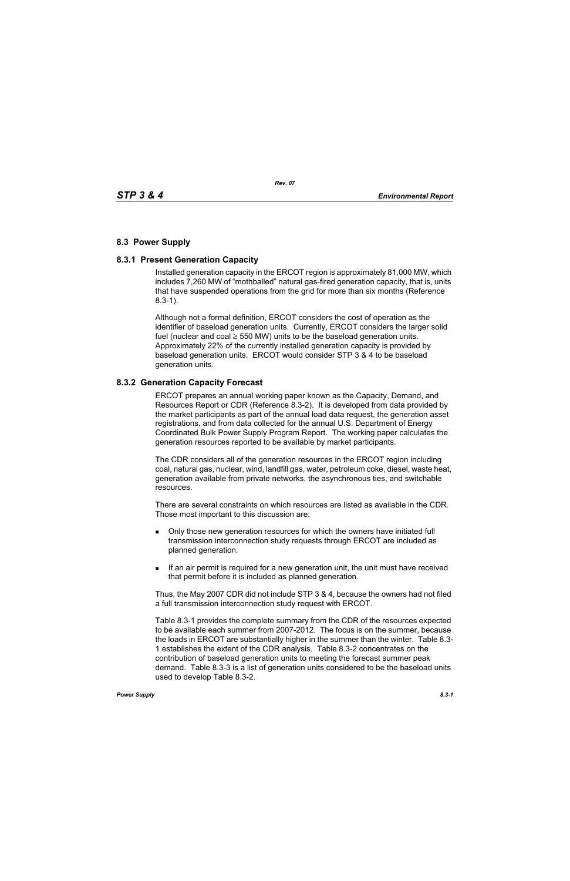# **8.3 Power Supply**

# **8.3.1 Present Generation Capacity**

Installed generation capacity in the ERCOT region is approximately 81,000 MW, which includes 7,260 MW of "mothballed" natural gas-fired generation capacity, that is, units that have suspended operations from the grid for more than six months (Reference 8.3-1).

Although not a formal definition, ERCOT considers the cost of operation as the identifier of baseload generation units. Currently, ERCOT considers the larger solid fuel (nuclear and coal  $\geq$  550 MW) units to be the baseload generation units. Approximately 22% of the currently installed generation capacity is provided by baseload generation units. ERCOT would consider STP 3 & 4 to be baseload generation units.

### **8.3.2 Generation Capacity Forecast**

ERCOT prepares an annual working paper known as the Capacity, Demand, and Resources Report or CDR (Reference 8.3-2). It is developed from data provided by the market participants as part of the annual load data request, the generation asset registrations, and from data collected for the annual U.S. Department of Energy Coordinated Bulk Power Supply Program Report. The working paper calculates the generation resources reported to be available by market participants.

The CDR considers all of the generation resources in the ERCOT region including coal, natural gas, nuclear, wind, landfill gas, water, petroleum coke, diesel, waste heat, generation available from private networks, the asynchronous ties, and switchable resources.

There are several constraints on which resources are listed as available in the CDR. Those most important to this discussion are:

- **Drankler in Solvet** over a only those new generation resources for which the owners have initiated full transmission interconnection study requests through ERCOT are included as planned generation.
- If an air permit is required for a new generation unit, the unit must have received that permit before it is included as planned generation.

Thus, the May 2007 CDR did not include STP 3 & 4, because the owners had not filed a full transmission interconnection study request with ERCOT.

Table 8.3-1 provides the complete summary from the CDR of the resources expected to be available each summer from 2007-2012. The focus is on the summer, because the loads in ERCOT are substantially higher in the summer than the winter. Table 8.3- 1 establishes the extent of the CDR analysis. Table 8.3-2 concentrates on the contribution of baseload generation units to meeting the forecast summer peak demand. Table 8.3-3 is a list of generation units considered to be the baseload units used to develop Table 8.3-2.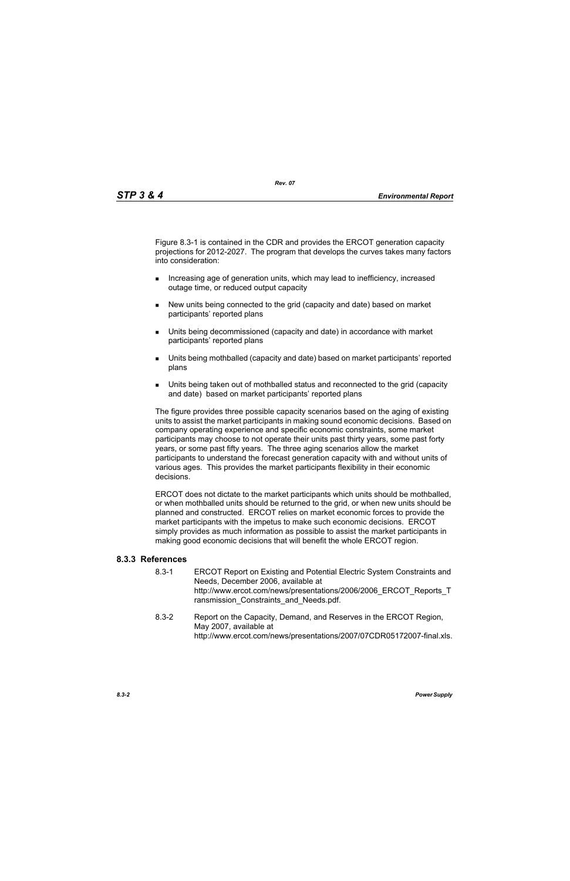Figure 8.3-1 is contained in the CDR and provides the ERCOT generation capacity projections for 2012-2027. The program that develops the curves takes many factors into consideration:

- **Increasing age of generation units, which may lead to inefficiency, increased** outage time, or reduced output capacity
- New units being connected to the grid (capacity and date) based on market participants' reported plans
- Units being decommissioned (capacity and date) in accordance with market participants' reported plans
- Units being mothballed (capacity and date) based on market participants' reported plans
- Units being taken out of mothballed status and reconnected to the grid (capacity and date) based on market participants' reported plans

The figure provides three possible capacity scenarios based on the aging of existing units to assist the market participants in making sound economic decisions. Based on company operating experience and specific economic constraints, some market participants may choose to not operate their units past thirty years, some past forty years, or some past fifty years. The three aging scenarios allow the market participants to understand the forecast generation capacity with and without units of various ages. This provides the market participants flexibility in their economic decisions.

ERCOT does not dictate to the market participants which units should be mothballed, or when mothballed units should be returned to the grid, or when new units should be planned and constructed. ERCOT relies on market economic forces to provide the market participants with the impetus to make such economic decisions. ERCOT simply provides as much information as possible to assist the market participants in making good economic decisions that will benefit the whole ERCOT region.

# **8.3.3 References**

- 8.3-1 ERCOT Report on Existing and Potential Electric System Constraints and Needs, December 2006, available at http://www.ercot.com/news/presentations/2006/2006\_ERCOT\_Reports\_T ransmission Constraints and Needs.pdf.
- 8.3-2 Report on the Capacity, Demand, and Reserves in the ERCOT Region, May 2007, available at http://www.ercot.com/news/presentations/2007/07CDR05172007-final.xls.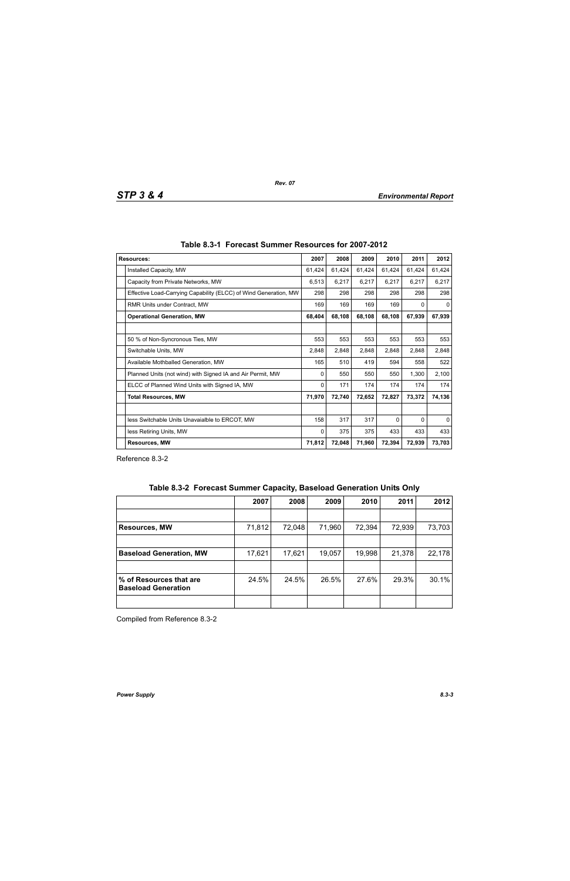| <b>Resources:</b>                                                | 2007   | 2008   | 2009   | 2010     | 2011   | 2012     |
|------------------------------------------------------------------|--------|--------|--------|----------|--------|----------|
| Installed Capacity, MW                                           | 61,424 | 61,424 | 61,424 | 61,424   | 61,424 | 61,424   |
| Capacity from Private Networks, MW                               | 6,513  | 6,217  | 6,217  | 6,217    | 6,217  | 6,217    |
| Effective Load-Carrying Capability (ELCC) of Wind Generation, MW | 298    | 298    | 298    | 298      | 298    | 298      |
| RMR Units under Contract, MW                                     | 169    | 169    | 169    | 169      | 0      | 0        |
| <b>Operational Generation, MW</b>                                |        | 68,108 | 68,108 | 68,108   | 67,939 | 67,939   |
|                                                                  |        |        |        |          |        |          |
| 50 % of Non-Syncronous Ties, MW                                  | 553    | 553    | 553    | 553      | 553    | 553      |
| Switchable Units, MW                                             | 2,848  | 2,848  | 2,848  | 2,848    | 2,848  | 2,848    |
| Available Mothballed Generation, MW                              | 165    | 510    | 419    | 594      | 558    | 522      |
| Planned Units (not wind) with Signed IA and Air Permit, MW       | 0      | 550    | 550    | 550      | 1,300  | 2,100    |
| ELCC of Planned Wind Units with Signed IA, MW                    | 0      | 171    | 174    | 174      | 174    | 174      |
| <b>Total Resources, MW</b>                                       | 71,970 | 72,740 | 72,652 | 72,827   | 73,372 | 74,136   |
|                                                                  |        |        |        |          |        |          |
| less Switchable Units Unavaialble to ERCOT, MW                   | 158    | 317    | 317    | $\Omega$ | 0      | $\Omega$ |
| less Retiring Units, MW                                          | 0      | 375    | 375    | 433      | 433    | 433      |
| <b>Resources, MW</b>                                             |        | 72,048 | 71,960 | 72,394   | 72,939 | 73,703   |

Reference 8.3-2

|  | Table 8.3-2 Forecast Summer Capacity, Baseload Generation Units Only |  |  |  |  |
|--|----------------------------------------------------------------------|--|--|--|--|
|--|----------------------------------------------------------------------|--|--|--|--|

|                                                       | 2007   | 2008   | 2009   | 2010   | 2011   | 2012   |
|-------------------------------------------------------|--------|--------|--------|--------|--------|--------|
|                                                       |        |        |        |        |        |        |
| <b>Resources, MW</b>                                  | 71,812 | 72,048 | 71,960 | 72,394 | 72,939 | 73,703 |
|                                                       |        |        |        |        |        |        |
| <b>Baseload Generation, MW</b>                        | 17,621 | 17,621 | 19,057 | 19,998 | 21,378 | 22,178 |
|                                                       |        |        |        |        |        |        |
| % of Resources that are<br><b>Baseload Generation</b> | 24.5%  | 24.5%  | 26.5%  | 27.6%  | 29.3%  | 30.1%  |
|                                                       |        |        |        |        |        |        |

Compiled from Reference 8.3-2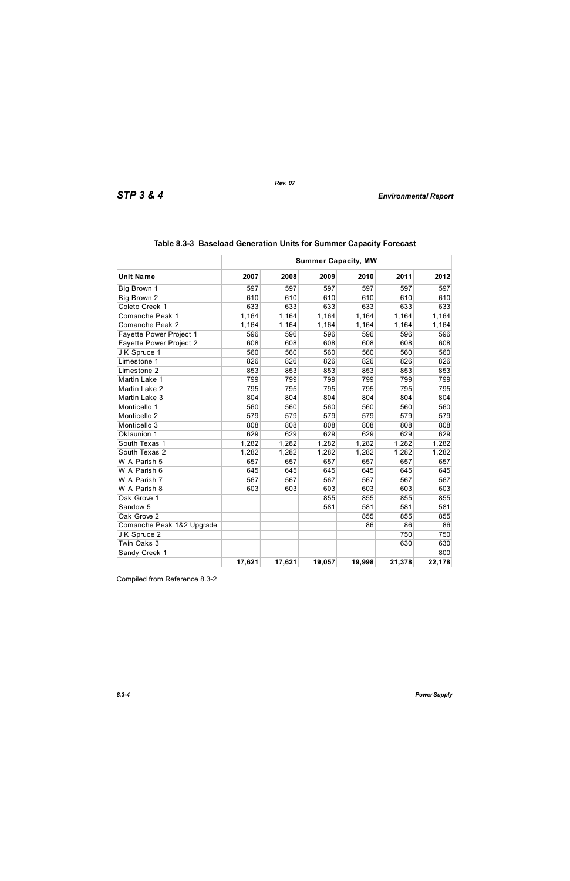|                                | <b>Summer Capacity, MW</b> |        |        |        |        |        |
|--------------------------------|----------------------------|--------|--------|--------|--------|--------|
| <b>Unit Name</b>               | 2007                       | 2008   | 2009   | 2010   | 2011   | 2012   |
| Big Brown 1                    | 597                        | 597    | 597    | 597    | 597    | 597    |
| Big Brown 2                    | 610                        | 610    | 610    | 610    | 610    | 610    |
| Coleto Creek 1                 | 633                        | 633    | 633    | 633    | 633    | 633    |
| Comanche Peak 1                | 1,164                      | 1,164  | 1,164  | 1,164  | 1,164  | 1,164  |
| Comanche Peak 2                | 1,164                      | 1,164  | 1,164  | 1,164  | 1,164  | 1,164  |
| <b>Fayette Power Project 1</b> | 596                        | 596    | 596    | 596    | 596    | 596    |
| Fayette Power Project 2        | 608                        | 608    | 608    | 608    | 608    | 608    |
| J K Spruce 1                   | 560                        | 560    | 560    | 560    | 560    | 560    |
| Limestone 1                    | 826                        | 826    | 826    | 826    | 826    | 826    |
| Limestone 2                    | 853                        | 853    | 853    | 853    | 853    | 853    |
| Martin Lake 1                  | 799                        | 799    | 799    | 799    | 799    | 799    |
| Martin Lake 2                  | 795                        | 795    | 795    | 795    | 795    | 795    |
| Martin Lake 3                  | 804                        | 804    | 804    | 804    | 804    | 804    |
| Monticello 1                   | 560                        | 560    | 560    | 560    | 560    | 560    |
| Monticello 2                   | 579                        | 579    | 579    | 579    | 579    | 579    |
| Monticello 3                   | 808                        | 808    | 808    | 808    | 808    | 808    |
| Oklaunion 1                    | 629                        | 629    | 629    | 629    | 629    | 629    |
| South Texas 1                  | 1,282                      | 1,282  | 1,282  | 1,282  | 1,282  | 1,282  |
| South Texas 2                  | 1,282                      | 1,282  | 1,282  | 1,282  | 1,282  | 1,282  |
| W A Parish 5                   | 657                        | 657    | 657    | 657    | 657    | 657    |
| W A Parish 6                   | 645                        | 645    | 645    | 645    | 645    | 645    |
| W A Parish 7                   | 567                        | 567    | 567    | 567    | 567    | 567    |
| W A Parish 8                   | 603                        | 603    | 603    | 603    | 603    | 603    |
| Oak Grove 1                    |                            |        | 855    | 855    | 855    | 855    |
| Sandow 5                       |                            |        | 581    | 581    | 581    | 581    |
| Oak Grove 2                    |                            |        |        | 855    | 855    | 855    |
| Comanche Peak 1&2 Upgrade      |                            |        |        | 86     | 86     | 86     |
| J K Spruce 2                   |                            |        |        |        | 750    | 750    |
| Twin Oaks 3                    |                            |        |        |        | 630    | 630    |
| Sandy Creek 1                  |                            |        |        |        |        | 800    |
|                                | 17,621                     | 17,621 | 19,057 | 19,998 | 21,378 | 22,178 |

Compiled from Reference 8.3-2